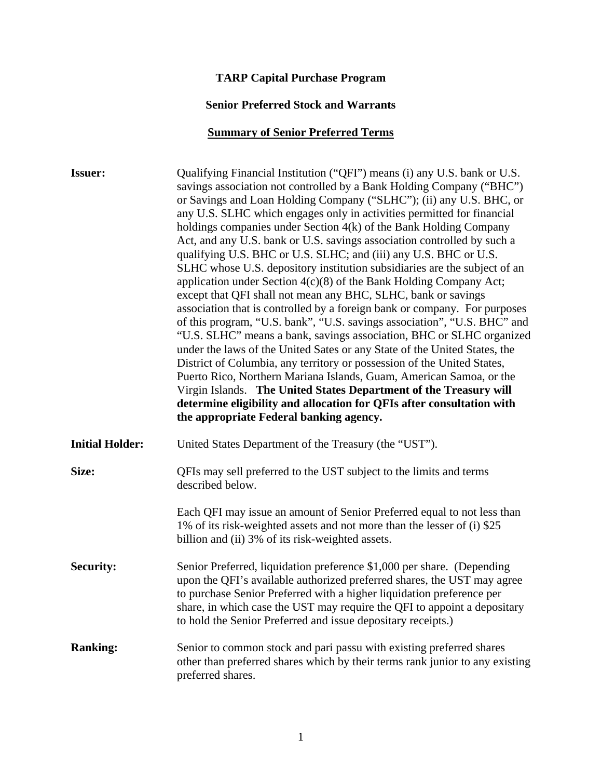## **TARP Capital Purchase Program**

#### **Senior Preferred Stock and Warrants**

## **Summary of Senior Preferred Terms**

| <b>Issuer:</b>         | Qualifying Financial Institution ("QFI") means (i) any U.S. bank or U.S.<br>savings association not controlled by a Bank Holding Company ("BHC")<br>or Savings and Loan Holding Company ("SLHC"); (ii) any U.S. BHC, or<br>any U.S. SLHC which engages only in activities permitted for financial<br>holdings companies under Section 4(k) of the Bank Holding Company<br>Act, and any U.S. bank or U.S. savings association controlled by such a<br>qualifying U.S. BHC or U.S. SLHC; and (iii) any U.S. BHC or U.S.<br>SLHC whose U.S. depository institution subsidiaries are the subject of an<br>application under Section $4(c)(8)$ of the Bank Holding Company Act;<br>except that QFI shall not mean any BHC, SLHC, bank or savings<br>association that is controlled by a foreign bank or company. For purposes<br>of this program, "U.S. bank", "U.S. savings association", "U.S. BHC" and<br>"U.S. SLHC" means a bank, savings association, BHC or SLHC organized<br>under the laws of the United Sates or any State of the United States, the<br>District of Columbia, any territory or possession of the United States,<br>Puerto Rico, Northern Mariana Islands, Guam, American Samoa, or the<br>Virgin Islands. The United States Department of the Treasury will<br>determine eligibility and allocation for QFIs after consultation with<br>the appropriate Federal banking agency. |
|------------------------|------------------------------------------------------------------------------------------------------------------------------------------------------------------------------------------------------------------------------------------------------------------------------------------------------------------------------------------------------------------------------------------------------------------------------------------------------------------------------------------------------------------------------------------------------------------------------------------------------------------------------------------------------------------------------------------------------------------------------------------------------------------------------------------------------------------------------------------------------------------------------------------------------------------------------------------------------------------------------------------------------------------------------------------------------------------------------------------------------------------------------------------------------------------------------------------------------------------------------------------------------------------------------------------------------------------------------------------------------------------------------------------------------|
| <b>Initial Holder:</b> | United States Department of the Treasury (the "UST").                                                                                                                                                                                                                                                                                                                                                                                                                                                                                                                                                                                                                                                                                                                                                                                                                                                                                                                                                                                                                                                                                                                                                                                                                                                                                                                                                |
| Size:                  | QFIs may sell preferred to the UST subject to the limits and terms<br>described below.                                                                                                                                                                                                                                                                                                                                                                                                                                                                                                                                                                                                                                                                                                                                                                                                                                                                                                                                                                                                                                                                                                                                                                                                                                                                                                               |
|                        | Each QFI may issue an amount of Senior Preferred equal to not less than<br>1% of its risk-weighted assets and not more than the lesser of (i) \$25<br>billion and (ii) 3% of its risk-weighted assets.                                                                                                                                                                                                                                                                                                                                                                                                                                                                                                                                                                                                                                                                                                                                                                                                                                                                                                                                                                                                                                                                                                                                                                                               |
| <b>Security:</b>       | Senior Preferred, liquidation preference \$1,000 per share. (Depending<br>upon the QFI's available authorized preferred shares, the UST may agree<br>to purchase Senior Preferred with a higher liquidation preference per<br>share, in which case the UST may require the QFI to appoint a depositary<br>to hold the Senior Preferred and issue depositary receipts.)                                                                                                                                                                                                                                                                                                                                                                                                                                                                                                                                                                                                                                                                                                                                                                                                                                                                                                                                                                                                                               |
| <b>Ranking:</b>        | Senior to common stock and pari passu with existing preferred shares<br>other than preferred shares which by their terms rank junior to any existing<br>preferred shares.                                                                                                                                                                                                                                                                                                                                                                                                                                                                                                                                                                                                                                                                                                                                                                                                                                                                                                                                                                                                                                                                                                                                                                                                                            |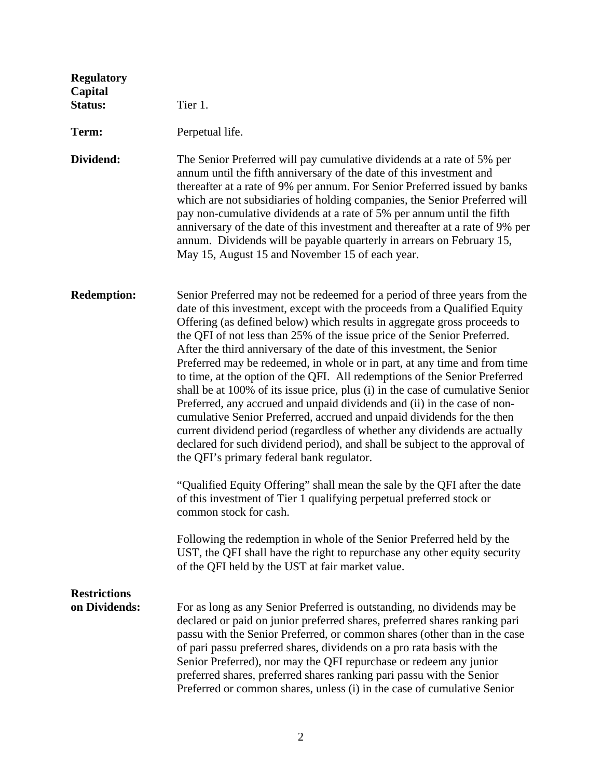| <b>Regulatory</b><br>Capital<br><b>Status:</b> | Tier 1.                                                                                                                                                                                                                                                                                                                                                                                                                                                                                                                                                                                                                                                                                                                                                                                                                                                                                                                                                                                              |
|------------------------------------------------|------------------------------------------------------------------------------------------------------------------------------------------------------------------------------------------------------------------------------------------------------------------------------------------------------------------------------------------------------------------------------------------------------------------------------------------------------------------------------------------------------------------------------------------------------------------------------------------------------------------------------------------------------------------------------------------------------------------------------------------------------------------------------------------------------------------------------------------------------------------------------------------------------------------------------------------------------------------------------------------------------|
| Term:                                          | Perpetual life.                                                                                                                                                                                                                                                                                                                                                                                                                                                                                                                                                                                                                                                                                                                                                                                                                                                                                                                                                                                      |
| Dividend:                                      | The Senior Preferred will pay cumulative dividends at a rate of 5% per<br>annum until the fifth anniversary of the date of this investment and<br>thereafter at a rate of 9% per annum. For Senior Preferred issued by banks<br>which are not subsidiaries of holding companies, the Senior Preferred will<br>pay non-cumulative dividends at a rate of 5% per annum until the fifth<br>anniversary of the date of this investment and thereafter at a rate of 9% per<br>annum. Dividends will be payable quarterly in arrears on February 15,<br>May 15, August 15 and November 15 of each year.                                                                                                                                                                                                                                                                                                                                                                                                    |
| <b>Redemption:</b>                             | Senior Preferred may not be redeemed for a period of three years from the<br>date of this investment, except with the proceeds from a Qualified Equity<br>Offering (as defined below) which results in aggregate gross proceeds to<br>the QFI of not less than 25% of the issue price of the Senior Preferred.<br>After the third anniversary of the date of this investment, the Senior<br>Preferred may be redeemed, in whole or in part, at any time and from time<br>to time, at the option of the QFI. All redemptions of the Senior Preferred<br>shall be at 100% of its issue price, plus (i) in the case of cumulative Senior<br>Preferred, any accrued and unpaid dividends and (ii) in the case of non-<br>cumulative Senior Preferred, accrued and unpaid dividends for the then<br>current dividend period (regardless of whether any dividends are actually<br>declared for such dividend period), and shall be subject to the approval of<br>the QFI's primary federal bank regulator. |
|                                                | "Qualified Equity Offering" shall mean the sale by the QFI after the date<br>of this investment of Tier 1 qualifying perpetual preferred stock or<br>common stock for cash.                                                                                                                                                                                                                                                                                                                                                                                                                                                                                                                                                                                                                                                                                                                                                                                                                          |
|                                                | Following the redemption in whole of the Senior Preferred held by the<br>UST, the QFI shall have the right to repurchase any other equity security<br>of the QFI held by the UST at fair market value.                                                                                                                                                                                                                                                                                                                                                                                                                                                                                                                                                                                                                                                                                                                                                                                               |
| <b>Restrictions</b><br>on Dividends:           | For as long as any Senior Preferred is outstanding, no dividends may be<br>declared or paid on junior preferred shares, preferred shares ranking pari<br>passu with the Senior Preferred, or common shares (other than in the case<br>of pari passu preferred shares, dividends on a pro rata basis with the<br>Senior Preferred), nor may the QFI repurchase or redeem any junior<br>preferred shares, preferred shares ranking pari passu with the Senior<br>Preferred or common shares, unless (i) in the case of cumulative Senior                                                                                                                                                                                                                                                                                                                                                                                                                                                               |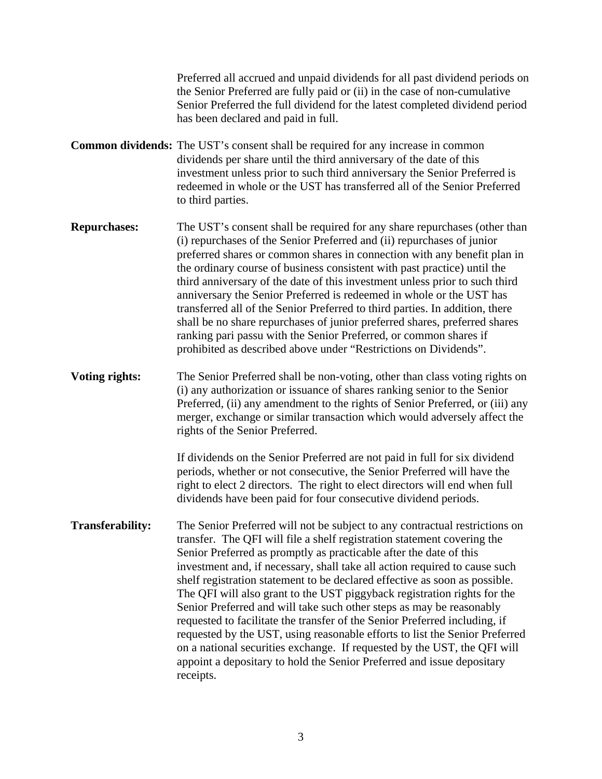Preferred all accrued and unpaid dividends for all past dividend periods on the Senior Preferred are fully paid or (ii) in the case of non-cumulative Senior Preferred the full dividend for the latest completed dividend period has been declared and paid in full. **Common dividends:** The UST's consent shall be required for any increase in common dividends per share until the third anniversary of the date of this investment unless prior to such third anniversary the Senior Preferred is redeemed in whole or the UST has transferred all of the Senior Preferred to third parties.

**Repurchases:** The UST's consent shall be required for any share repurchases (other than (i) repurchases of the Senior Preferred and (ii) repurchases of junior preferred shares or common shares in connection with any benefit plan in the ordinary course of business consistent with past practice) until the third anniversary of the date of this investment unless prior to such third anniversary the Senior Preferred is redeemed in whole or the UST has transferred all of the Senior Preferred to third parties. In addition, there shall be no share repurchases of junior preferred shares, preferred shares ranking pari passu with the Senior Preferred, or common shares if prohibited as described above under "Restrictions on Dividends".

**Voting rights:** The Senior Preferred shall be non-voting, other than class voting rights on (i) any authorization or issuance of shares ranking senior to the Senior Preferred, (ii) any amendment to the rights of Senior Preferred, or (iii) any merger, exchange or similar transaction which would adversely affect the rights of the Senior Preferred.

> If dividends on the Senior Preferred are not paid in full for six dividend periods, whether or not consecutive, the Senior Preferred will have the right to elect 2 directors. The right to elect directors will end when full dividends have been paid for four consecutive dividend periods.

**Transferability:** The Senior Preferred will not be subject to any contractual restrictions on transfer. The QFI will file a shelf registration statement covering the Senior Preferred as promptly as practicable after the date of this investment and, if necessary, shall take all action required to cause such shelf registration statement to be declared effective as soon as possible. The QFI will also grant to the UST piggyback registration rights for the Senior Preferred and will take such other steps as may be reasonably requested to facilitate the transfer of the Senior Preferred including, if requested by the UST, using reasonable efforts to list the Senior Preferred on a national securities exchange. If requested by the UST, the QFI will appoint a depositary to hold the Senior Preferred and issue depositary receipts.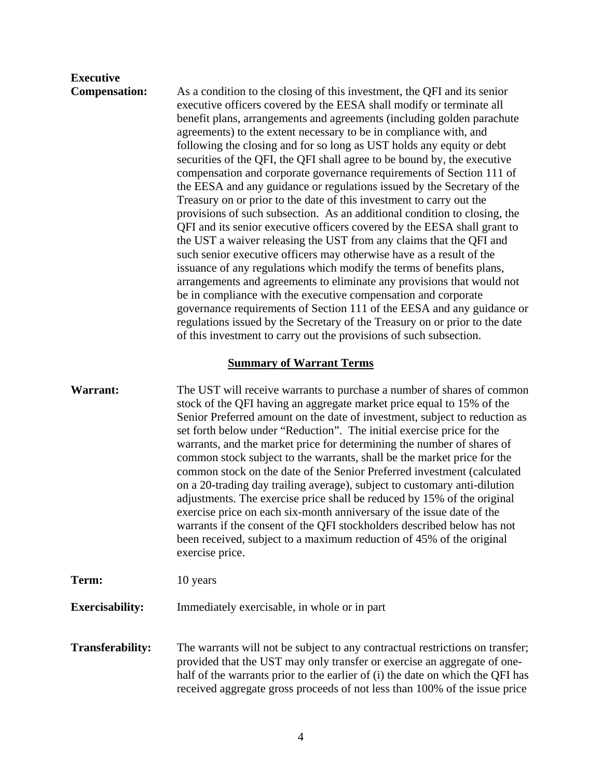# **Executive**

**Compensation:** As a condition to the closing of this investment, the QFI and its senior executive officers covered by the EESA shall modify or terminate all benefit plans, arrangements and agreements (including golden parachute agreements) to the extent necessary to be in compliance with, and following the closing and for so long as UST holds any equity or debt securities of the QFI, the QFI shall agree to be bound by, the executive compensation and corporate governance requirements of Section 111 of the EESA and any guidance or regulations issued by the Secretary of the Treasury on or prior to the date of this investment to carry out the provisions of such subsection. As an additional condition to closing, the QFI and its senior executive officers covered by the EESA shall grant to the UST a waiver releasing the UST from any claims that the QFI and such senior executive officers may otherwise have as a result of the issuance of any regulations which modify the terms of benefits plans, arrangements and agreements to eliminate any provisions that would not be in compliance with the executive compensation and corporate governance requirements of Section 111 of the EESA and any guidance or regulations issued by the Secretary of the Treasury on or prior to the date of this investment to carry out the provisions of such subsection.

#### **Summary of Warrant Terms**

| Warrant:               | The UST will receive warrants to purchase a number of shares of common<br>stock of the QFI having an aggregate market price equal to 15% of the<br>Senior Preferred amount on the date of investment, subject to reduction as<br>set forth below under "Reduction". The initial exercise price for the<br>warrants, and the market price for determining the number of shares of<br>common stock subject to the warrants, shall be the market price for the<br>common stock on the date of the Senior Preferred investment (calculated<br>on a 20-trading day trailing average), subject to customary anti-dilution<br>adjustments. The exercise price shall be reduced by 15% of the original<br>exercise price on each six-month anniversary of the issue date of the<br>warrants if the consent of the QFI stockholders described below has not<br>been received, subject to a maximum reduction of 45% of the original<br>exercise price. |
|------------------------|-----------------------------------------------------------------------------------------------------------------------------------------------------------------------------------------------------------------------------------------------------------------------------------------------------------------------------------------------------------------------------------------------------------------------------------------------------------------------------------------------------------------------------------------------------------------------------------------------------------------------------------------------------------------------------------------------------------------------------------------------------------------------------------------------------------------------------------------------------------------------------------------------------------------------------------------------|
| Term:                  | 10 years                                                                                                                                                                                                                                                                                                                                                                                                                                                                                                                                                                                                                                                                                                                                                                                                                                                                                                                                      |
| <b>Exercisability:</b> | Immediately exercisable, in whole or in part                                                                                                                                                                                                                                                                                                                                                                                                                                                                                                                                                                                                                                                                                                                                                                                                                                                                                                  |

**Transferability:** The warrants will not be subject to any contractual restrictions on transfer; provided that the UST may only transfer or exercise an aggregate of onehalf of the warrants prior to the earlier of (i) the date on which the QFI has received aggregate gross proceeds of not less than 100% of the issue price